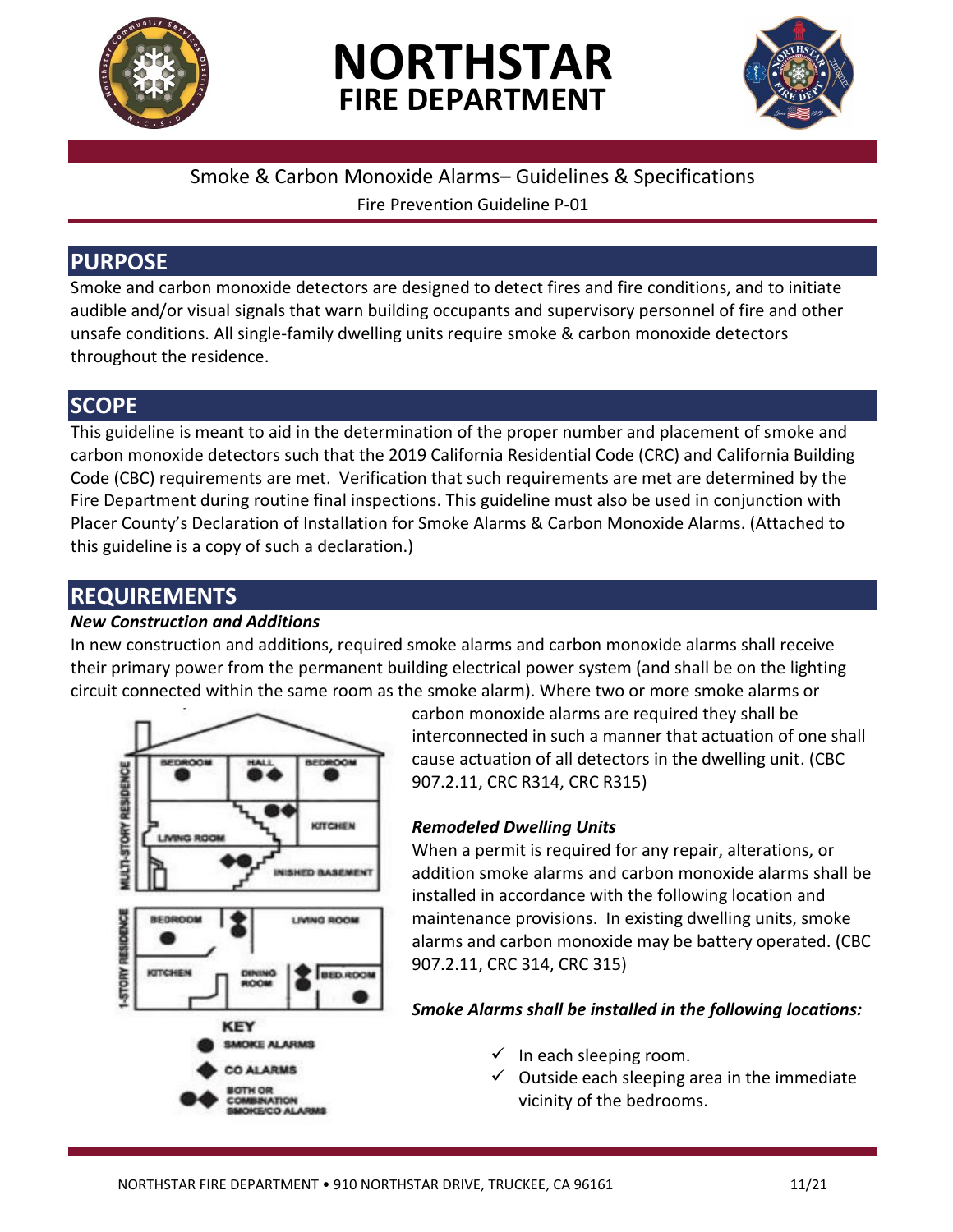

# **NORTHSTAR FIRE DEPARTMENT**



## Smoke & Carbon Monoxide Alarms– Guidelines & Specifications

Fire Prevention Guideline P-01

## **PURPOSE**

Smoke and carbon monoxide detectors are designed to detect fires and fire conditions, and to initiate audible and/or visual signals that warn building occupants and supervisory personnel of fire and other unsafe conditions. All single-family dwelling units require smoke & carbon monoxide detectors throughout the residence.

## **SCOPE**

This guideline is meant to aid in the determination of the proper number and placement of smoke and carbon monoxide detectors such that the 2019 California Residential Code (CRC) and California Building Code (CBC) requirements are met. Verification that such requirements are met are determined by the Fire Department during routine final inspections. This guideline must also be used in conjunction with Placer County's Declaration of Installation for Smoke Alarms & Carbon Monoxide Alarms. (Attached to this guideline is a copy of such a declaration.)

## **REQUIREMENTS**

#### *New Construction and Additions*

In new construction and additions, required smoke alarms and carbon monoxide alarms shall receive their primary power from the permanent building electrical power system (and shall be on the lighting circuit connected within the same room as the smoke alarm). Where two or more smoke alarms or



carbon monoxide alarms are required they shall be interconnected in such a manner that actuation of one shall cause actuation of all detectors in the dwelling unit. (CBC 907.2.11, CRC R314, CRC R315)

#### *Remodeled Dwelling Units*

When a permit is required for any repair, alterations, or addition smoke alarms and carbon monoxide alarms shall be installed in accordance with the following location and maintenance provisions. In existing dwelling units, smoke alarms and carbon monoxide may be battery operated. (CBC 907.2.11, CRC 314, CRC 315)

#### *Smoke Alarms shall be installed in the following locations:*

- $\checkmark$  In each sleeping room.
- $\checkmark$  Outside each sleeping area in the immediate vicinity of the bedrooms.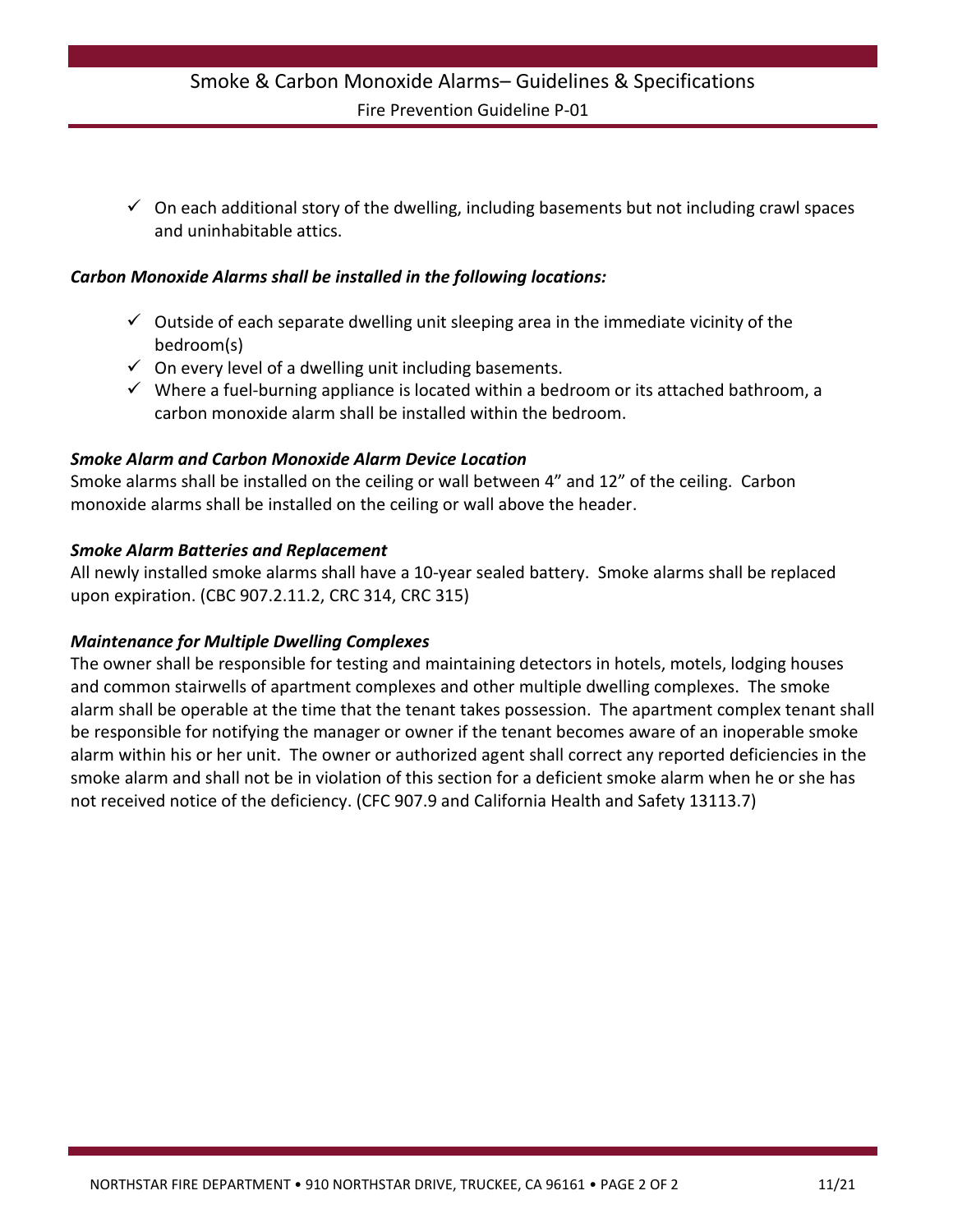## Smoke & Carbon Monoxide Alarms– Guidelines & Specifications Fire Prevention Guideline P-01

 $\checkmark$  On each additional story of the dwelling, including basements but not including crawl spaces and uninhabitable attics.

#### *Carbon Monoxide Alarms shall be installed in the following locations:*

- $\checkmark$  Outside of each separate dwelling unit sleeping area in the immediate vicinity of the bedroom(s)
- $\checkmark$  On every level of a dwelling unit including basements.
- $\checkmark$  Where a fuel-burning appliance is located within a bedroom or its attached bathroom, a carbon monoxide alarm shall be installed within the bedroom.

#### *Smoke Alarm and Carbon Monoxide Alarm Device Location*

Smoke alarms shall be installed on the ceiling or wall between 4" and 12" of the ceiling. Carbon monoxide alarms shall be installed on the ceiling or wall above the header.

#### *Smoke Alarm Batteries and Replacement*

All newly installed smoke alarms shall have a 10-year sealed battery. Smoke alarms shall be replaced upon expiration. (CBC 907.2.11.2, CRC 314, CRC 315)

#### *Maintenance for Multiple Dwelling Complexes*

The owner shall be responsible for testing and maintaining detectors in hotels, motels, lodging houses and common stairwells of apartment complexes and other multiple dwelling complexes. The smoke alarm shall be operable at the time that the tenant takes possession. The apartment complex tenant shall be responsible for notifying the manager or owner if the tenant becomes aware of an inoperable smoke alarm within his or her unit. The owner or authorized agent shall correct any reported deficiencies in the smoke alarm and shall not be in violation of this section for a deficient smoke alarm when he or she has not received notice of the deficiency. (CFC 907.9 and California Health and Safety 13113.7)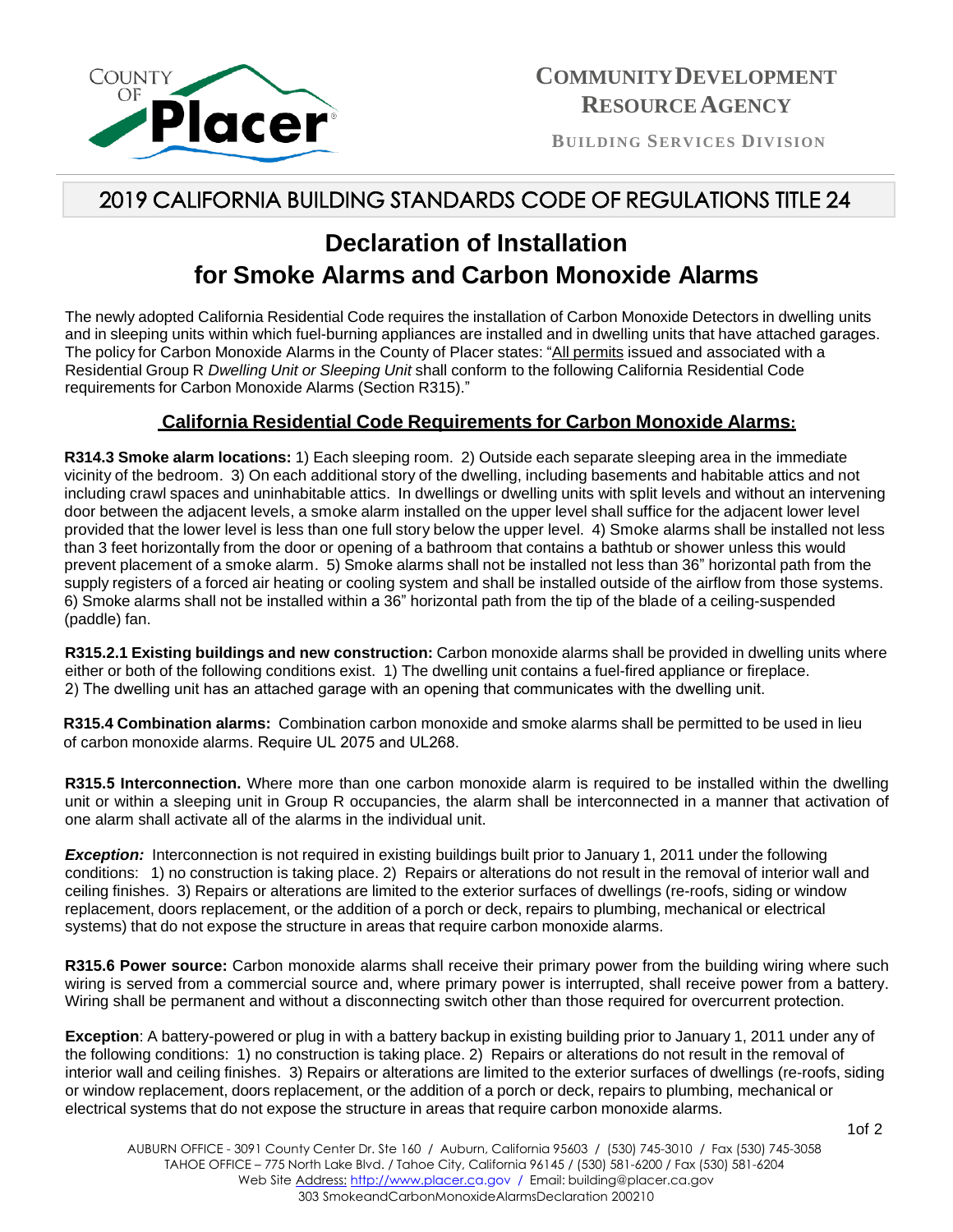

**B UI L DI N G S E RV I CE S D IV IS IO N**

## 2019 CALIFORNIA BUILDING STANDARDS CODE OF REGULATIONS TITLE 24

## **Declaration of Installation for Smoke Alarms and Carbon Monoxide Alarms**

The newly adopted California Residential Code requires the installation of Carbon Monoxide Detectors in dwelling units and in sleeping units within which fuel-burning appliances are installed and in dwelling units that have attached garages. The policy for Carbon Monoxide Alarms in the County of Placer states: "All permits issued and associated with a Residential Group R *Dwelling Unit or Sleeping Unit* shall conform to the following California Residential Code requirements for Carbon Monoxide Alarms (Section R315)."

#### **California Residential Code Requirements for Carbon Monoxide Alarms:**

**R314.3 Smoke alarm locations:** 1) Each sleeping room. 2) Outside each separate sleeping area in the immediate vicinity of the bedroom. 3) On each additional story of the dwelling, including basements and habitable attics and not including crawl spaces and uninhabitable attics. In dwellings or dwelling units with split levels and without an intervening door between the adjacent levels, a smoke alarm installed on the upper level shall suffice for the adjacent lower level provided that the lower level is less than one full story below the upper level. 4) Smoke alarms shall be installed not less than 3 feet horizontally from the door or opening of a bathroom that contains a bathtub or shower unless this would prevent placement of a smoke alarm. 5) Smoke alarms shall not be installed not less than 36" horizontal path from the supply registers of a forced air heating or cooling system and shall be installed outside of the airflow from those systems. 6) Smoke alarms shall not be installed within a 36" horizontal path from the tip of the blade of a ceiling-suspended (paddle) fan.

**R315.2.1 Existing buildings and new construction:** Carbon monoxide alarms shall be provided in dwelling units where either or both of the following conditions exist. 1) The dwelling unit contains a fuel-fired appliance or fireplace. 2) The dwelling unit has an attached garage with an opening that communicates with the dwelling unit.

**R315.4 Combination alarms:** Combination carbon monoxide and smoke alarms shall be permitted to be used in lieu of carbon monoxide alarms. Require UL 2075 and UL268.

**R315.5 Interconnection.** Where more than one carbon monoxide alarm is required to be installed within the dwelling unit or within a sleeping unit in Group R occupancies, the alarm shall be interconnected in a manner that activation of one alarm shall activate all of the alarms in the individual unit.

**Exception:** Interconnection is not required in existing buildings built prior to January 1, 2011 under the following conditions: 1) no construction is taking place. 2) Repairs or alterations do not result in the removal of interior wall and ceiling finishes. 3) Repairs or alterations are limited to the exterior surfaces of dwellings (re-roofs, siding or window replacement, doors replacement, or the addition of a porch or deck, repairs to plumbing, mechanical or electrical systems) that do not expose the structure in areas that require carbon monoxide alarms.

**R315.6 Power source:** Carbon monoxide alarms shall receive their primary power from the building wiring where such wiring is served from a commercial source and, where primary power is interrupted, shall receive power from a battery. Wiring shall be permanent and without a disconnecting switch other than those required for overcurrent protection.

**Exception**: A battery-powered or plug in with a battery backup in existing building prior to January 1, 2011 under any of the following conditions: 1) no construction is taking place. 2) Repairs or alterations do not result in the removal of interior wall and ceiling finishes. 3) Repairs or alterations are limited to the exterior surfaces of dwellings (re-roofs, siding or window replacement, doors replacement, or the addition of a porch or deck, repairs to plumbing, mechanical or electrical systems that do not expose the structure in areas that require carbon monoxide alarms.